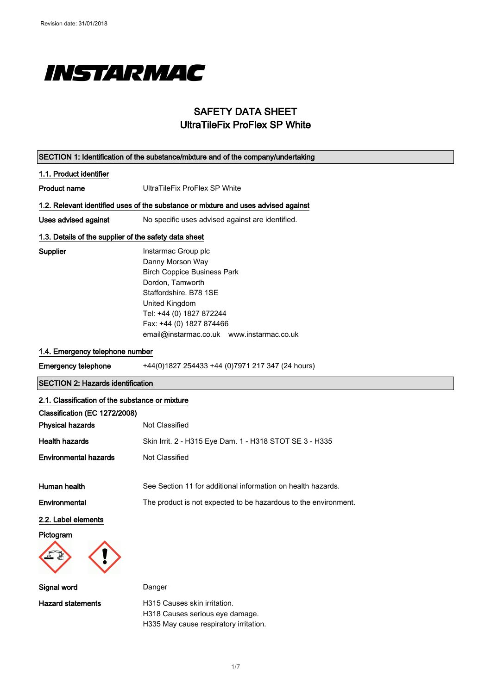

## SAFETY DATA SHEET UltraTileFix ProFlex SP White

| SECTION 1: Identification of the substance/mixture and of the company/undertaking |                                                                                                                                                                                                                                                    |
|-----------------------------------------------------------------------------------|----------------------------------------------------------------------------------------------------------------------------------------------------------------------------------------------------------------------------------------------------|
| 1.1. Product identifier                                                           |                                                                                                                                                                                                                                                    |
| <b>Product name</b>                                                               | <b>UltraTileFix ProFlex SP White</b>                                                                                                                                                                                                               |
|                                                                                   | 1.2. Relevant identified uses of the substance or mixture and uses advised against                                                                                                                                                                 |
| Uses advised against                                                              | No specific uses advised against are identified.                                                                                                                                                                                                   |
| 1.3. Details of the supplier of the safety data sheet                             |                                                                                                                                                                                                                                                    |
| <b>Supplier</b>                                                                   | Instarmac Group plc<br>Danny Morson Way<br><b>Birch Coppice Business Park</b><br>Dordon, Tamworth<br>Staffordshire, B78 1SE<br>United Kingdom<br>Tel: +44 (0) 1827 872244<br>Fax: +44 (0) 1827 874466<br>email@instarmac.co.uk www.instarmac.co.uk |
| 1.4. Emergency telephone number                                                   |                                                                                                                                                                                                                                                    |
| <b>Emergency telephone</b>                                                        | +44(0)1827 254433 +44 (0)7971 217 347 (24 hours)                                                                                                                                                                                                   |
| <b>SECTION 2: Hazards identification</b>                                          |                                                                                                                                                                                                                                                    |
| 2.1. Classification of the substance or mixture                                   |                                                                                                                                                                                                                                                    |
| Classification (EC 1272/2008)                                                     |                                                                                                                                                                                                                                                    |
| <b>Physical hazards</b>                                                           | Not Classified                                                                                                                                                                                                                                     |
| <b>Health hazards</b>                                                             | Skin Irrit. 2 - H315 Eye Dam. 1 - H318 STOT SE 3 - H335                                                                                                                                                                                            |
| <b>Environmental hazards</b>                                                      | Not Classified                                                                                                                                                                                                                                     |
| Human health                                                                      | See Section 11 for additional information on health hazards.                                                                                                                                                                                       |
| Environmental                                                                     | The product is not expected to be hazardous to the environment.                                                                                                                                                                                    |
| 2.2. Label elements                                                               |                                                                                                                                                                                                                                                    |
| Pictogram                                                                         |                                                                                                                                                                                                                                                    |
| Signal word                                                                       | Danger                                                                                                                                                                                                                                             |
| <b>Hazard statements</b>                                                          | H315 Causes skin irritation.<br>H318 Causes serious eye damage.                                                                                                                                                                                    |

1/ 7

H335 May cause respiratory irritation.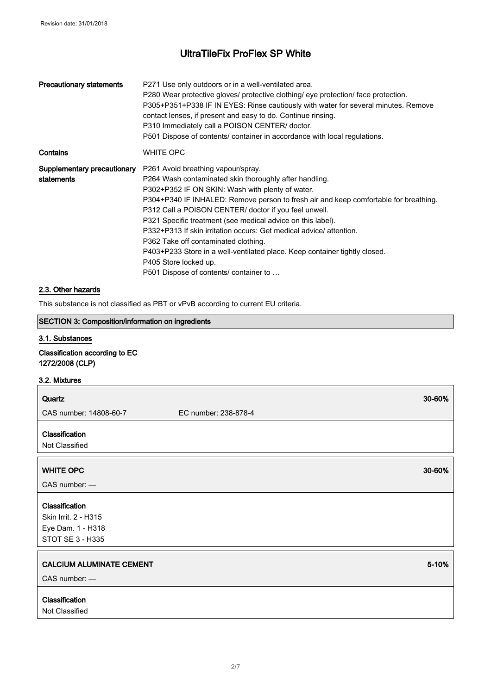| <b>Precautionary statements</b>           | P271 Use only outdoors or in a well-ventilated area.<br>P280 Wear protective gloves/ protective clothing/ eye protection/ face protection.<br>P305+P351+P338 IF IN EYES: Rinse cautiously with water for several minutes. Remove<br>contact lenses, if present and easy to do. Continue rinsing.<br>P310 Immediately call a POISON CENTER/ doctor.<br>P501 Dispose of contents/ container in accordance with local regulations.                                                                                                                                                                                                  |
|-------------------------------------------|----------------------------------------------------------------------------------------------------------------------------------------------------------------------------------------------------------------------------------------------------------------------------------------------------------------------------------------------------------------------------------------------------------------------------------------------------------------------------------------------------------------------------------------------------------------------------------------------------------------------------------|
| Contains                                  | <b>WHITE OPC</b>                                                                                                                                                                                                                                                                                                                                                                                                                                                                                                                                                                                                                 |
| Supplementary precautionary<br>statements | P261 Avoid breathing vapour/spray.<br>P264 Wash contaminated skin thoroughly after handling.<br>P302+P352 IF ON SKIN: Wash with plenty of water.<br>P304+P340 IF INHALED: Remove person to fresh air and keep comfortable for breathing.<br>P312 Call a POISON CENTER/ doctor if you feel unwell.<br>P321 Specific treatment (see medical advice on this label).<br>P332+P313 If skin irritation occurs: Get medical advice/ attention.<br>P362 Take off contaminated clothing.<br>P403+P233 Store in a well-ventilated place. Keep container tightly closed.<br>P405 Store locked up.<br>P501 Dispose of contents/ container to |

### 2.3. Other hazards

This substance is not classified as PBT or vPvB according to current EU criteria.

### SECTION 3: Composition/information on ingredients

#### 3.1. Substances

Classification according to EC 1272/2008 (CLP)

#### 3.2. Mixtures

| Quartz                                                                          | 30-60%               |
|---------------------------------------------------------------------------------|----------------------|
| CAS number: 14808-60-7                                                          | EC number: 238-878-4 |
| Classification<br>Not Classified                                                |                      |
| <b>WHITE OPC</b>                                                                | 30-60%               |
| $CAS$ number: $-$                                                               |                      |
| Classification<br>Skin Irrit. 2 - H315<br>Eye Dam. 1 - H318<br>STOT SE 3 - H335 |                      |
| <b>CALCIUM ALUMINATE CEMENT</b><br>$CAS$ number: $-$                            | 5-10%                |
| Classification<br>Not Classified                                                |                      |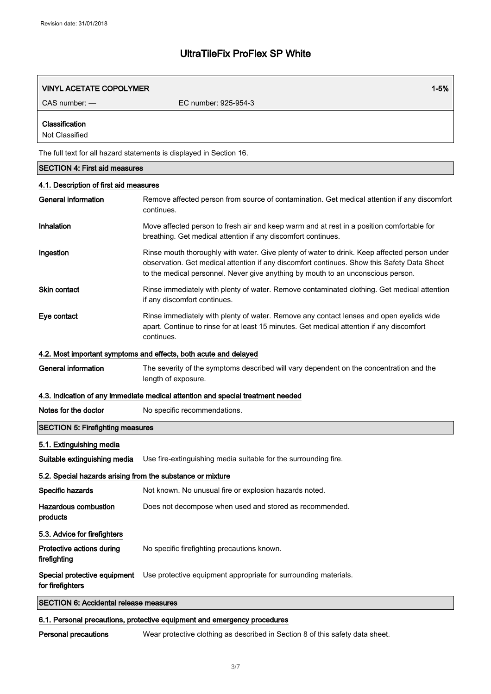| <b>VINYL ACETATE COPOLYMER</b>         | $1 - 5%$                                                                                                                                                                                                                                                                        |
|----------------------------------------|---------------------------------------------------------------------------------------------------------------------------------------------------------------------------------------------------------------------------------------------------------------------------------|
| $CAS$ number: $-$                      | EC number: 925-954-3                                                                                                                                                                                                                                                            |
| Classification<br>Not Classified       |                                                                                                                                                                                                                                                                                 |
|                                        | The full text for all hazard statements is displayed in Section 16.                                                                                                                                                                                                             |
| <b>SECTION 4: First aid measures</b>   |                                                                                                                                                                                                                                                                                 |
| 4.1. Description of first aid measures |                                                                                                                                                                                                                                                                                 |
| <b>General information</b>             | Remove affected person from source of contamination. Get medical attention if any discomfort<br>continues.                                                                                                                                                                      |
| Inhalation                             | Move affected person to fresh air and keep warm and at rest in a position comfortable for<br>breathing. Get medical attention if any discomfort continues.                                                                                                                      |
| Ingestion                              | Rinse mouth thoroughly with water. Give plenty of water to drink. Keep affected person under<br>observation. Get medical attention if any discomfort continues. Show this Safety Data Sheet<br>to the medical personnel. Never give anything by mouth to an unconscious person. |
| Skin contact                           | Rinse immediately with plenty of water. Remove contaminated clothing. Get medical attention<br>if any discomfort continues.                                                                                                                                                     |
| Eye contact                            | Rinse immediately with plenty of water. Remove any contact lenses and open eyelids wide<br>apart. Continue to rinse for at least 15 minutes. Get medical attention if any discomfort<br>continues.                                                                              |
|                                        | 4.2. Most important symptoms and effects, both acute and delayed                                                                                                                                                                                                                |

#### 4.2. Most important symptoms and effects, both acute and delayed

General information The severity of the symptoms described will vary dependent on the concentration and the length of exposure.

#### 4.3. Indication of any immediate medical attention and special treatment needed

| Notes for the doctor | No specific recommendations. |
|----------------------|------------------------------|
|----------------------|------------------------------|

## SECTION 5: Firefighting measures

#### 5.1. Extinguishing media

Suitable extinguishing media Use fire-extinguishing media suitable for the surrounding fire.

### 5.2. Special hazards arising from the substance or mixture

| Specific hazards                                 | Not known. No unusual fire or explosion hazards noted.          |
|--------------------------------------------------|-----------------------------------------------------------------|
| <b>Hazardous combustion</b><br>products          | Does not decompose when used and stored as recommended.         |
| 5.3. Advice for firefighters                     |                                                                 |
| Protective actions during<br>firefighting        | No specific firefighting precautions known.                     |
| Special protective equipment<br>for firefighters | Use protective equipment appropriate for surrounding materials. |

SECTION 6: Accidental release measures

### 6.1. Personal precautions, protective equipment and emergency procedures

Personal precautions Wear protective clothing as described in Section 8 of this safety data sheet.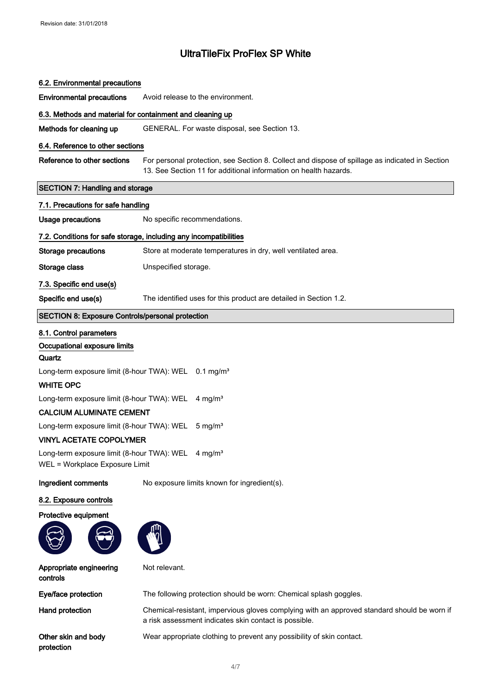| 6.2. Environmental precautions                                                                   |                                                                                                                                                                     |  |
|--------------------------------------------------------------------------------------------------|---------------------------------------------------------------------------------------------------------------------------------------------------------------------|--|
| <b>Environmental precautions</b>                                                                 | Avoid release to the environment.                                                                                                                                   |  |
| 6.3. Methods and material for containment and cleaning up                                        |                                                                                                                                                                     |  |
| Methods for cleaning up                                                                          | GENERAL. For waste disposal, see Section 13.                                                                                                                        |  |
| 6.4. Reference to other sections                                                                 |                                                                                                                                                                     |  |
| Reference to other sections                                                                      | For personal protection, see Section 8. Collect and dispose of spillage as indicated in Section<br>13. See Section 11 for additional information on health hazards. |  |
| <b>SECTION 7: Handling and storage</b>                                                           |                                                                                                                                                                     |  |
| 7.1. Precautions for safe handling                                                               |                                                                                                                                                                     |  |
| <b>Usage precautions</b>                                                                         | No specific recommendations.                                                                                                                                        |  |
|                                                                                                  | 7.2. Conditions for safe storage, including any incompatibilities                                                                                                   |  |
| <b>Storage precautions</b>                                                                       | Store at moderate temperatures in dry, well ventilated area.                                                                                                        |  |
| Storage class                                                                                    | Unspecified storage.                                                                                                                                                |  |
| 7.3. Specific end use(s)                                                                         |                                                                                                                                                                     |  |
| Specific end use(s)                                                                              | The identified uses for this product are detailed in Section 1.2.                                                                                                   |  |
| <b>SECTION 8: Exposure Controls/personal protection</b>                                          |                                                                                                                                                                     |  |
| 8.1. Control parameters<br>Occupational exposure limits<br>Quartz                                |                                                                                                                                                                     |  |
| Long-term exposure limit (8-hour TWA): WEL 0.1 mg/m <sup>3</sup><br><b>WHITE OPC</b>             |                                                                                                                                                                     |  |
| Long-term exposure limit (8-hour TWA): WEL                                                       | 4 mg/m <sup>3</sup>                                                                                                                                                 |  |
| <b>CALCIUM ALUMINATE CEMENT</b>                                                                  |                                                                                                                                                                     |  |
| Long-term exposure limit (8-hour TWA): WEL                                                       | $5 \text{ mg/m}^3$                                                                                                                                                  |  |
| <b>VINYL ACETATE COPOLYMER</b>                                                                   |                                                                                                                                                                     |  |
| Long-term exposure limit (8-hour TWA): WEL 4 mg/m <sup>3</sup><br>WEL = Workplace Exposure Limit |                                                                                                                                                                     |  |
| Ingredient comments                                                                              | No exposure limits known for ingredient(s).                                                                                                                         |  |
| 8.2. Exposure controls                                                                           |                                                                                                                                                                     |  |
| Protective equipment                                                                             |                                                                                                                                                                     |  |
|                                                                                                  |                                                                                                                                                                     |  |
| Appropriate engineering<br>controls                                                              | Not relevant.                                                                                                                                                       |  |
| Eye/face protection                                                                              | The following protection should be worn: Chemical splash goggles.                                                                                                   |  |
| Hand protection                                                                                  | Chemical-resistant, impervious gloves complying with an approved standard should be worn if                                                                         |  |

Other skin and body protection

Wear appropriate clothing to prevent any possibility of skin contact.

a risk assessment indicates skin contact is possible.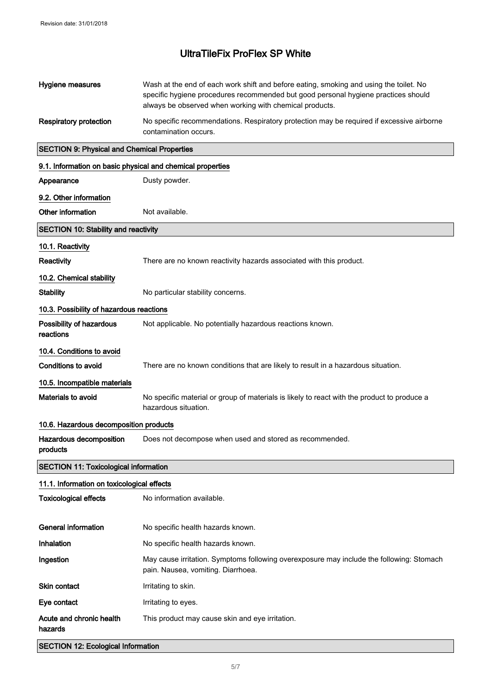| Hygiene measures                                           | Wash at the end of each work shift and before eating, smoking and using the toilet. No<br>specific hygiene procedures recommended but good personal hygiene practices should<br>always be observed when working with chemical products. |
|------------------------------------------------------------|-----------------------------------------------------------------------------------------------------------------------------------------------------------------------------------------------------------------------------------------|
| <b>Respiratory protection</b>                              | No specific recommendations. Respiratory protection may be required if excessive airborne<br>contamination occurs.                                                                                                                      |
| <b>SECTION 9: Physical and Chemical Properties</b>         |                                                                                                                                                                                                                                         |
| 9.1. Information on basic physical and chemical properties |                                                                                                                                                                                                                                         |
| Appearance                                                 | Dusty powder.                                                                                                                                                                                                                           |
| 9.2. Other information                                     |                                                                                                                                                                                                                                         |
| Other information                                          | Not available.                                                                                                                                                                                                                          |
| <b>SECTION 10: Stability and reactivity</b>                |                                                                                                                                                                                                                                         |
| 10.1. Reactivity                                           |                                                                                                                                                                                                                                         |
| Reactivity                                                 | There are no known reactivity hazards associated with this product.                                                                                                                                                                     |
| 10.2. Chemical stability                                   |                                                                                                                                                                                                                                         |
| <b>Stability</b>                                           | No particular stability concerns.                                                                                                                                                                                                       |
| 10.3. Possibility of hazardous reactions                   |                                                                                                                                                                                                                                         |
| Possibility of hazardous<br>reactions                      | Not applicable. No potentially hazardous reactions known.                                                                                                                                                                               |
| 10.4. Conditions to avoid                                  |                                                                                                                                                                                                                                         |
| <b>Conditions to avoid</b>                                 | There are no known conditions that are likely to result in a hazardous situation.                                                                                                                                                       |
| 10.5. Incompatible materials                               |                                                                                                                                                                                                                                         |
| Materials to avoid                                         | No specific material or group of materials is likely to react with the product to produce a<br>hazardous situation.                                                                                                                     |
| 10.6. Hazardous decomposition products                     |                                                                                                                                                                                                                                         |
| Hazardous decomposition<br>products                        | Does not decompose when used and stored as recommended.                                                                                                                                                                                 |
| <b>SECTION 11: Toxicological information</b>               |                                                                                                                                                                                                                                         |
| 11.1. Information on toxicological effects                 |                                                                                                                                                                                                                                         |
| <b>Toxicological effects</b>                               | No information available.                                                                                                                                                                                                               |
| <b>General information</b>                                 | No specific health hazards known.                                                                                                                                                                                                       |
| Inhalation                                                 | No specific health hazards known.                                                                                                                                                                                                       |
| Ingestion                                                  | May cause irritation. Symptoms following overexposure may include the following: Stomach<br>pain. Nausea, vomiting. Diarrhoea.                                                                                                          |
| <b>Skin contact</b>                                        | Irritating to skin.                                                                                                                                                                                                                     |
| Eye contact                                                | Irritating to eyes.                                                                                                                                                                                                                     |
| Acute and chronic health<br>hazards                        | This product may cause skin and eye irritation.                                                                                                                                                                                         |
| <b>SECTION 12: Ecological Information</b>                  |                                                                                                                                                                                                                                         |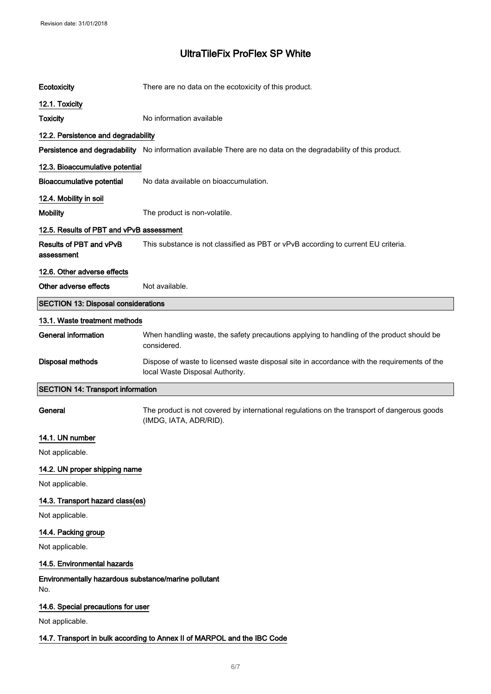| Ecotoxicity                                                 | There are no data on the ecotoxicity of this product.                                                                          |  |
|-------------------------------------------------------------|--------------------------------------------------------------------------------------------------------------------------------|--|
| 12.1. Toxicity                                              |                                                                                                                                |  |
| <b>Toxicity</b>                                             | No information available                                                                                                       |  |
| 12.2. Persistence and degradability                         |                                                                                                                                |  |
|                                                             | Persistence and degradability No information available There are no data on the degradability of this product.                 |  |
| 12.3. Bioaccumulative potential                             |                                                                                                                                |  |
| <b>Bioaccumulative potential</b>                            | No data available on bioaccumulation.                                                                                          |  |
| 12.4. Mobility in soil                                      |                                                                                                                                |  |
| <b>Mobility</b>                                             | The product is non-volatile.                                                                                                   |  |
| 12.5. Results of PBT and vPvB assessment                    |                                                                                                                                |  |
| Results of PBT and vPvB<br>assessment                       | This substance is not classified as PBT or vPvB according to current EU criteria.                                              |  |
| 12.6. Other adverse effects                                 |                                                                                                                                |  |
| Other adverse effects                                       | Not available.                                                                                                                 |  |
| <b>SECTION 13: Disposal considerations</b>                  |                                                                                                                                |  |
| 13.1. Waste treatment methods                               |                                                                                                                                |  |
| <b>General information</b>                                  | When handling waste, the safety precautions applying to handling of the product should be<br>considered.                       |  |
| <b>Disposal methods</b>                                     | Dispose of waste to licensed waste disposal site in accordance with the requirements of the<br>local Waste Disposal Authority. |  |
| <b>SECTION 14: Transport information</b>                    |                                                                                                                                |  |
| General                                                     | The product is not covered by international regulations on the transport of dangerous goods<br>(IMDG, IATA, ADR/RID).          |  |
| 14.1. UN number                                             |                                                                                                                                |  |
| Not applicable.                                             |                                                                                                                                |  |
| 14.2. UN proper shipping name                               |                                                                                                                                |  |
| Not applicable.                                             |                                                                                                                                |  |
| 14.3. Transport hazard class(es)                            |                                                                                                                                |  |
| Not applicable.                                             |                                                                                                                                |  |
| 14.4. Packing group                                         |                                                                                                                                |  |
| Not applicable.                                             |                                                                                                                                |  |
| 14.5. Environmental hazards                                 |                                                                                                                                |  |
| Environmentally hazardous substance/marine pollutant<br>No. |                                                                                                                                |  |
| 14.6. Special precautions for user                          |                                                                                                                                |  |
| Not applicable.                                             |                                                                                                                                |  |
|                                                             | 14.7. Transport in bulk according to Annex II of MARPOL and the IBC Code                                                       |  |